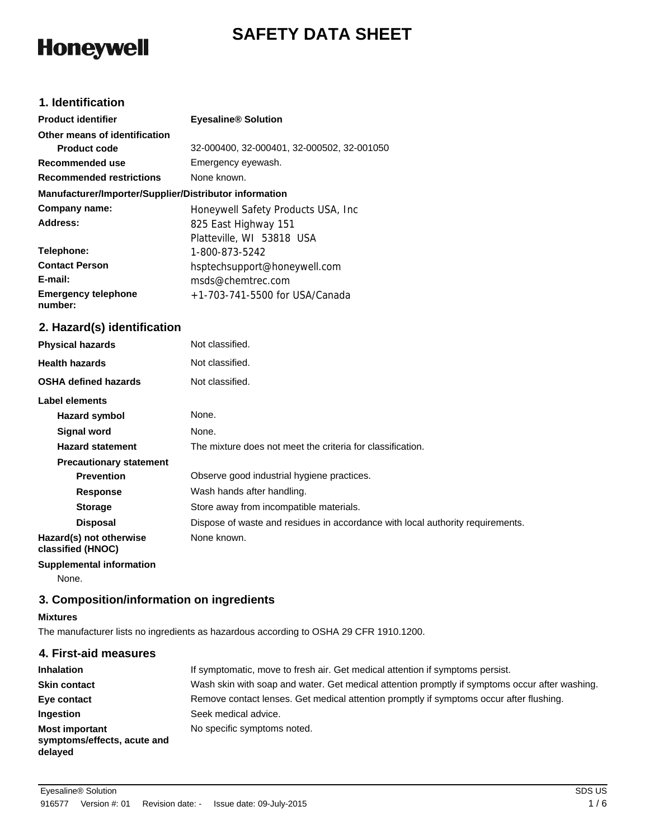# **SAFETY DATA SHEET**

# **Honeywell**

# **1. Identification**

| <b>Product identifier</b>                              | <b>Eyesaline<sup>®</sup> Solution</b>      |
|--------------------------------------------------------|--------------------------------------------|
| Other means of identification                          |                                            |
| <b>Product code</b>                                    | 32-000400, 32-000401, 32-000502, 32-001050 |
| Recommended use                                        | Emergency eyewash.                         |
| <b>Recommended restrictions</b>                        | None known.                                |
| Manufacturer/Importer/Supplier/Distributor information |                                            |
| Company name:                                          | Honeywell Safety Products USA, Inc.        |
| Address:                                               | 825 East Highway 151                       |
|                                                        | Platteville, WI 53818 USA                  |
| Telephone:                                             | 1-800-873-5242                             |
| <b>Contact Person</b>                                  | hsptechsupport@honeywell.com               |
| E-mail:                                                | msds@chemtrec.com                          |
| <b>Emergency telephone</b><br>number:                  | $+1-703-741-5500$ for USA/Canada           |

# **2. Hazard(s) identification**

| <b>Physical hazards</b>                      | Not classified.                                                                |
|----------------------------------------------|--------------------------------------------------------------------------------|
| <b>Health hazards</b>                        | Not classified.                                                                |
| <b>OSHA defined hazards</b>                  | Not classified.                                                                |
| Label elements                               |                                                                                |
| Hazard symbol                                | None.                                                                          |
| <b>Signal word</b>                           | None.                                                                          |
| <b>Hazard statement</b>                      | The mixture does not meet the criteria for classification.                     |
| <b>Precautionary statement</b>               |                                                                                |
| <b>Prevention</b>                            | Observe good industrial hygiene practices.                                     |
| <b>Response</b>                              | Wash hands after handling.                                                     |
| <b>Storage</b>                               | Store away from incompatible materials.                                        |
| <b>Disposal</b>                              | Dispose of waste and residues in accordance with local authority requirements. |
| Hazard(s) not otherwise<br>classified (HNOC) | None known.                                                                    |

**Supplemental information**

None.

# **3. Composition/information on ingredients**

#### **Mixtures**

The manufacturer lists no ingredients as hazardous according to OSHA 29 CFR 1910.1200.

| 4. First-aid measures                                           |                                                                                                |
|-----------------------------------------------------------------|------------------------------------------------------------------------------------------------|
| <b>Inhalation</b>                                               | If symptomatic, move to fresh air. Get medical attention if symptoms persist.                  |
| <b>Skin contact</b>                                             | Wash skin with soap and water. Get medical attention promptly if symptoms occur after washing. |
| Eye contact                                                     | Remove contact lenses. Get medical attention promptly if symptoms occur after flushing.        |
| Ingestion                                                       | Seek medical advice.                                                                           |
| <b>Most important</b><br>symptoms/effects, acute and<br>delayed | No specific symptoms noted.                                                                    |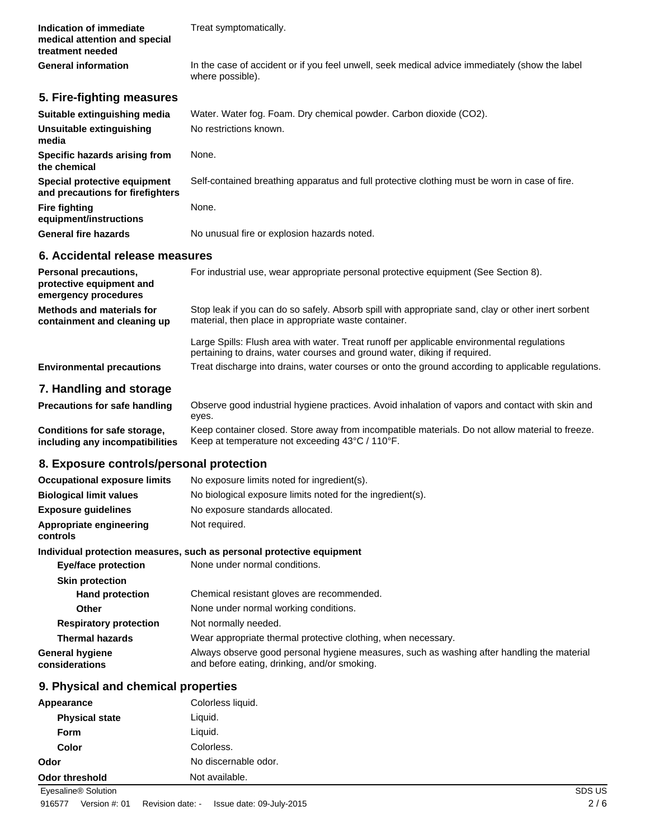| Indication of immediate<br>medical attention and special<br>treatment needed     | Treat symptomatically.                                                                                                                                                  |
|----------------------------------------------------------------------------------|-------------------------------------------------------------------------------------------------------------------------------------------------------------------------|
| <b>General information</b>                                                       | In the case of accident or if you feel unwell, seek medical advice immediately (show the label<br>where possible).                                                      |
| 5. Fire-fighting measures                                                        |                                                                                                                                                                         |
| Suitable extinguishing media                                                     | Water. Water fog. Foam. Dry chemical powder. Carbon dioxide (CO2).                                                                                                      |
| Unsuitable extinguishing<br>media                                                | No restrictions known.                                                                                                                                                  |
| <b>Specific hazards arising from</b><br>the chemical                             | None.                                                                                                                                                                   |
| <b>Special protective equipment</b><br>and precautions for firefighters          | Self-contained breathing apparatus and full protective clothing must be worn in case of fire.                                                                           |
| Fire fighting<br>equipment/instructions                                          | None.                                                                                                                                                                   |
| <b>General fire hazards</b>                                                      | No unusual fire or explosion hazards noted.                                                                                                                             |
| 6. Accidental release measures                                                   |                                                                                                                                                                         |
| <b>Personal precautions,</b><br>protective equipment and<br>emergency procedures | For industrial use, wear appropriate personal protective equipment (See Section 8).                                                                                     |
| <b>Methods and materials for</b><br>containment and cleaning up                  | Stop leak if you can do so safely. Absorb spill with appropriate sand, clay or other inert sorbent<br>material, then place in appropriate waste container.              |
|                                                                                  | Large Spills: Flush area with water. Treat runoff per applicable environmental regulations<br>pertaining to drains, water courses and ground water, diking if required. |
| <b>Environmental precautions</b>                                                 | Treat discharge into drains, water courses or onto the ground according to applicable regulations.                                                                      |
| 7. Handling and storage                                                          |                                                                                                                                                                         |
| <b>Precautions for safe handling</b>                                             | Observe good industrial hygiene practices. Avoid inhalation of vapors and contact with skin and<br>eyes.                                                                |
| <b>Conditions for safe storage,</b><br>including any incompatibilities           | Keep container closed. Store away from incompatible materials. Do not allow material to freeze.<br>Keep at temperature not exceeding 43°C / 110°F.                      |
| 8. Exposure controls/personal protection                                         |                                                                                                                                                                         |
|                                                                                  | Occupational exposure limits No exposure limits noted for ingredient(s).                                                                                                |
| <b>Biological limit values</b>                                                   | No biological exposure limits noted for the ingredient(s).                                                                                                              |
| <b>Exposure guidelines</b>                                                       | No exposure standards allocated.                                                                                                                                        |
| Appropriate engineering<br>controls                                              | Not required.                                                                                                                                                           |
|                                                                                  | Individual protection measures, such as personal protective equipment                                                                                                   |
| <b>Eye/face protection</b>                                                       | None under normal conditions.                                                                                                                                           |
| <b>Skin protection</b>                                                           |                                                                                                                                                                         |
| <b>Hand protection</b>                                                           | Chemical resistant gloves are recommended.                                                                                                                              |
| Other                                                                            | None under normal working conditions.                                                                                                                                   |
| <b>Respiratory protection</b>                                                    | Not normally needed.                                                                                                                                                    |
| <b>Thermal hazards</b>                                                           | Wear appropriate thermal protective clothing, when necessary.                                                                                                           |
| General hygiene<br>considerations                                                | Always observe good personal hygiene measures, such as washing after handling the material<br>and before eating, drinking, and/or smoking.                              |
| 9. Physical and chemical properties                                              |                                                                                                                                                                         |
| Appearance                                                                       | Colorless liquid.                                                                                                                                                       |
| <b>Physical state</b>                                                            | Liquid.                                                                                                                                                                 |
| Form                                                                             | Liquid.                                                                                                                                                                 |
| Color                                                                            | Colorless.                                                                                                                                                              |

**Odor** No discernable odor.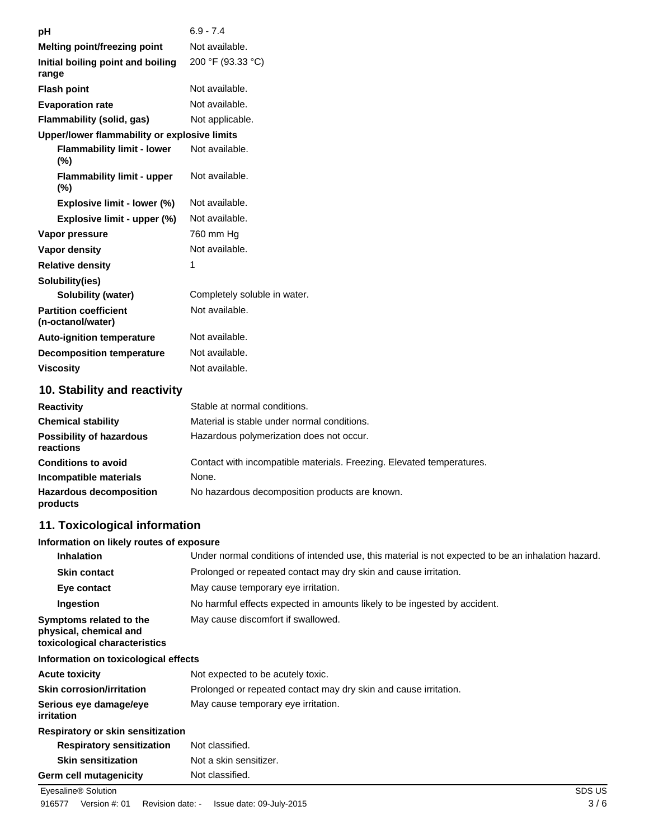| рH                                                | $6.9 - 7.4$                                 |
|---------------------------------------------------|---------------------------------------------|
| Melting point/freezing point                      | Not available.                              |
| Initial boiling point and boiling<br>range        | 200 °F (93.33 °C)                           |
| <b>Flash point</b>                                | Not available.                              |
| <b>Evaporation rate</b>                           | Not available.                              |
| Flammability (solid, gas)                         | Not applicable.                             |
| Upper/lower flammability or explosive limits      |                                             |
| <b>Flammability limit - lower</b><br>(%)          | Not available.                              |
| <b>Flammability limit - upper</b><br>(%)          | Not available.                              |
| Explosive limit - lower (%)                       | Not available.                              |
| Explosive limit - upper (%)                       | Not available.                              |
| Vapor pressure                                    | 760 mm Hg                                   |
| Vapor density                                     | Not available.                              |
| <b>Relative density</b>                           | 1                                           |
| Solubility(ies)                                   |                                             |
| Solubility (water)                                | Completely soluble in water.                |
| <b>Partition coefficient</b><br>(n-octanol/water) | Not available.                              |
| <b>Auto-ignition temperature</b>                  | Not available.                              |
| <b>Decomposition temperature</b>                  | Not available.                              |
| <b>Viscosity</b>                                  | Not available.                              |
| 10. Stability and reactivity                      |                                             |
| <b>Reactivity</b>                                 | Stable at normal conditions.                |
| <b>Chemical stability</b>                         | Material is stable under normal conditions. |
|                                                   |                                             |

| <b>Possibility of hazardous</b><br>reactions | Hazardous polymerization does not occur.                              |
|----------------------------------------------|-----------------------------------------------------------------------|
| <b>Conditions to avoid</b>                   | Contact with incompatible materials. Freezing. Elevated temperatures. |
| Incompatible materials                       | None.                                                                 |
| <b>Hazardous decomposition</b><br>products   | No hazardous decomposition products are known.                        |

# **11. Toxicological information**

# **Information on likely routes of exposure**

| <b>Inhalation</b>                                                                  | Under normal conditions of intended use, this material is not expected to be an inhalation hazard. |
|------------------------------------------------------------------------------------|----------------------------------------------------------------------------------------------------|
| <b>Skin contact</b>                                                                | Prolonged or repeated contact may dry skin and cause irritation.                                   |
| Eye contact                                                                        | May cause temporary eye irritation.                                                                |
| Ingestion                                                                          | No harmful effects expected in amounts likely to be ingested by accident.                          |
| Symptoms related to the<br>physical, chemical and<br>toxicological characteristics | May cause discomfort if swallowed.                                                                 |
| Information on toxicological effects                                               |                                                                                                    |
| Acute toxicity                                                                     | Not expected to be acutely toxic.                                                                  |

| <b>Acute toxicity</b>                       | Not expected to be acutely toxic.                                |
|---------------------------------------------|------------------------------------------------------------------|
| <b>Skin corrosion/irritation</b>            | Prolonged or repeated contact may dry skin and cause irritation. |
| Serious eye damage/eye<br><i>irritation</i> | May cause temporary eye irritation.                              |
| Desemberte and en elder expedition them     |                                                                  |

# **Respiratory or skin sensitization**

| <b>Respiratory sensitization</b> | Not classified.        |
|----------------------------------|------------------------|
| <b>Skin sensitization</b>        | Not a skin sensitizer. |
| Germ cell mutagenicity           | Not classified.        |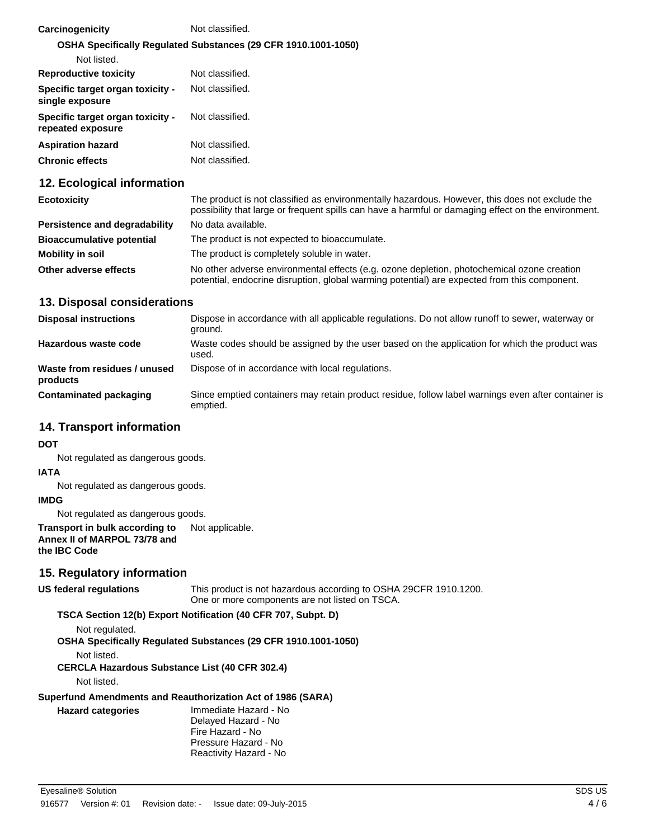| Carcinogenicity                                       | Not classified.                                                |
|-------------------------------------------------------|----------------------------------------------------------------|
|                                                       | OSHA Specifically Regulated Substances (29 CFR 1910.1001-1050) |
| Not listed.                                           |                                                                |
| <b>Reproductive toxicity</b>                          | Not classified.                                                |
| Specific target organ toxicity -<br>single exposure   | Not classified.                                                |
| Specific target organ toxicity -<br>repeated exposure | Not classified.                                                |
| <b>Aspiration hazard</b>                              | Not classified.                                                |
| <b>Chronic effects</b>                                | Not classified.                                                |

# **12. Ecological information**

| <b>Ecotoxicity</b>               | The product is not classified as environmentally hazardous. However, this does not exclude the<br>possibility that large or frequent spills can have a harmful or damaging effect on the environment. |
|----------------------------------|-------------------------------------------------------------------------------------------------------------------------------------------------------------------------------------------------------|
| Persistence and degradability    | No data available.                                                                                                                                                                                    |
| <b>Bioaccumulative potential</b> | The product is not expected to bioaccumulate.                                                                                                                                                         |
| Mobility in soil                 | The product is completely soluble in water.                                                                                                                                                           |
| Other adverse effects            | No other adverse environmental effects (e.g. ozone depletion, photochemical ozone creation<br>potential, endocrine disruption, global warming potential) are expected from this component.            |

### **13. Disposal considerations**

| <b>Disposal instructions</b>             | Dispose in accordance with all applicable regulations. Do not allow runoff to sewer, waterway or<br>ground.    |
|------------------------------------------|----------------------------------------------------------------------------------------------------------------|
| Hazardous waste code                     | Waste codes should be assigned by the user based on the application for which the product was<br>used.         |
| Waste from residues / unused<br>products | Dispose of in accordance with local regulations.                                                               |
| <b>Contaminated packaging</b>            | Since emptied containers may retain product residue, follow label warnings even after container is<br>emptied. |

# **14. Transport information**

#### **DOT**

Not regulated as dangerous goods.

#### **IATA**

Not regulated as dangerous goods.

#### **IMDG**

Not regulated as dangerous goods.

#### **Transport in bulk according to** Not applicable. **Annex II of MARPOL 73/78 and the IBC Code**

# **15. Regulatory information**

This product is not hazardous according to OSHA 29CFR 1910.1200. One or more components are not listed on TSCA. **US federal regulations**

# **TSCA Section 12(b) Export Notification (40 CFR 707, Subpt. D)**

Not regulated.

**OSHA Specifically Regulated Substances (29 CFR 1910.1001-1050)**

Not listed.

**CERCLA Hazardous Substance List (40 CFR 302.4)**

Not listed.

**Hazard categories**

#### **Superfund Amendments and Reauthorization Act of 1986 (SARA)**

Immediate Hazard - No Delayed Hazard - No Fire Hazard - No Pressure Hazard - No Reactivity Hazard - No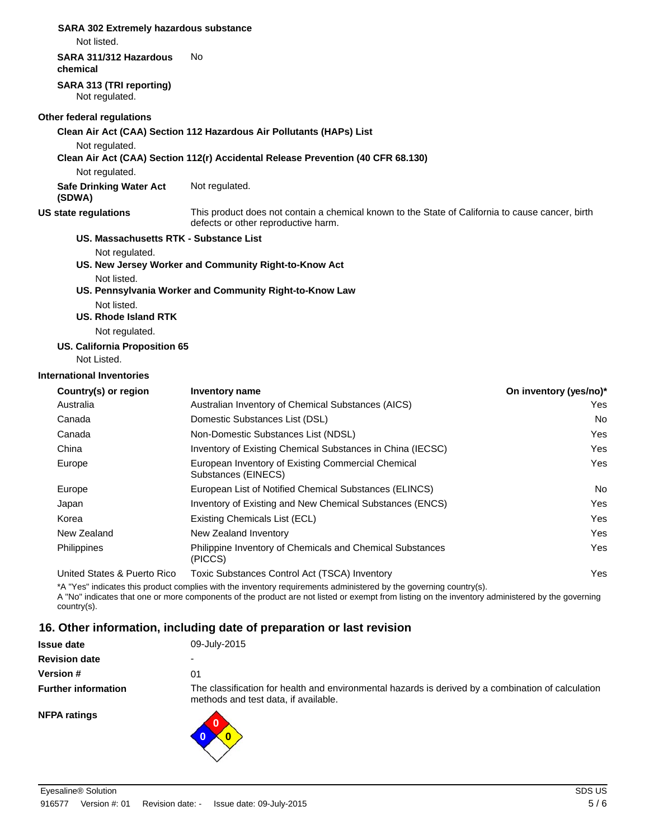# **SARA 302 Extremely hazardous substance**

Not listed.

#### **SARA 311/312 Hazardous** No

**chemical**

**SARA 313 (TRI reporting)** Not regulated.

#### **Other federal regulations**

**Clean Air Act (CAA) Section 112 Hazardous Air Pollutants (HAPs) List**

Not regulated.

**Clean Air Act (CAA) Section 112(r) Accidental Release Prevention (40 CFR 68.130)**

Not regulated.

**Safe Drinking Water Act** Not regulated. **(SDWA)**

#### **US state regulations**

This product does not contain a chemical known to the State of California to cause cancer, birth defects or other reproductive harm.

# **US. Massachusetts RTK - Substance List**

Not regulated.

- **US. New Jersey Worker and Community Right-to-Know Act**
	- Not listed.

#### **US. Pennsylvania Worker and Community Right-to-Know Law**

Not listed.

**US. Rhode Island RTK**

Not regulated.

# **US. California Proposition 65**

Not Listed.

#### **International Inventories**

| Country(s) or region        | Inventory name                                                              | On inventory (yes/no)* |
|-----------------------------|-----------------------------------------------------------------------------|------------------------|
| Australia                   | Australian Inventory of Chemical Substances (AICS)                          | Yes                    |
| Canada                      | Domestic Substances List (DSL)                                              | No.                    |
| Canada                      | Non-Domestic Substances List (NDSL)                                         | Yes                    |
| China                       | Inventory of Existing Chemical Substances in China (IECSC)                  | Yes                    |
| Europe                      | European Inventory of Existing Commercial Chemical<br>Substances (EINECS)   | Yes                    |
| Europe                      | European List of Notified Chemical Substances (ELINCS)                      | No.                    |
| Japan                       | Inventory of Existing and New Chemical Substances (ENCS)                    | Yes                    |
| Korea                       | Existing Chemicals List (ECL)                                               | Yes                    |
| New Zealand                 | New Zealand Inventory                                                       | Yes                    |
| Philippines                 | <b>Philippine Inventory of Chemicals and Chemical Substances</b><br>(PICCS) | Yes                    |
| United States & Puerto Rico | Toxic Substances Control Act (TSCA) Inventory                               | Yes.                   |

\*A "Yes" indicates this product complies with the inventory requirements administered by the governing country(s).

A "No" indicates that one or more components of the product are not listed or exempt from listing on the inventory administered by the governing country(s).

# **16. Other information, including date of preparation or last revision**

| <b>Issue date</b>          | 09-July-2015                                                                                                                               |
|----------------------------|--------------------------------------------------------------------------------------------------------------------------------------------|
| <b>Revision date</b>       | $\overline{\phantom{0}}$                                                                                                                   |
| <b>Version #</b>           | 01                                                                                                                                         |
| <b>Further information</b> | The classification for health and environmental hazards is derived by a combination of calculation<br>methods and test data, if available. |
| <b>NFPA ratings</b>        |                                                                                                                                            |